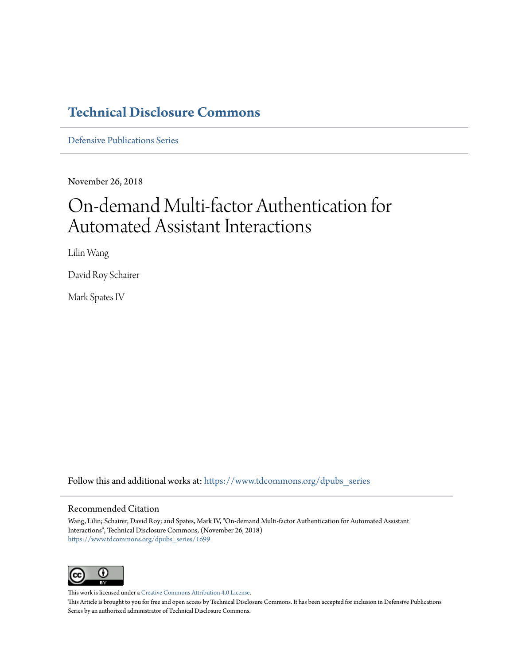### **[Technical Disclosure Commons](https://www.tdcommons.org?utm_source=www.tdcommons.org%2Fdpubs_series%2F1699&utm_medium=PDF&utm_campaign=PDFCoverPages)**

[Defensive Publications Series](https://www.tdcommons.org/dpubs_series?utm_source=www.tdcommons.org%2Fdpubs_series%2F1699&utm_medium=PDF&utm_campaign=PDFCoverPages)

November 26, 2018

# On-demand Multi-factor Authentication for Automated Assistant Interactions

Lilin Wang

David Roy Schairer

Mark Spates IV

Follow this and additional works at: [https://www.tdcommons.org/dpubs\\_series](https://www.tdcommons.org/dpubs_series?utm_source=www.tdcommons.org%2Fdpubs_series%2F1699&utm_medium=PDF&utm_campaign=PDFCoverPages)

#### Recommended Citation

Wang, Lilin; Schairer, David Roy; and Spates, Mark IV, "On-demand Multi-factor Authentication for Automated Assistant Interactions", Technical Disclosure Commons, (November 26, 2018) [https://www.tdcommons.org/dpubs\\_series/1699](https://www.tdcommons.org/dpubs_series/1699?utm_source=www.tdcommons.org%2Fdpubs_series%2F1699&utm_medium=PDF&utm_campaign=PDFCoverPages)



This work is licensed under a [Creative Commons Attribution 4.0 License.](http://creativecommons.org/licenses/by/4.0/deed.en_US)

This Article is brought to you for free and open access by Technical Disclosure Commons. It has been accepted for inclusion in Defensive Publications Series by an authorized administrator of Technical Disclosure Commons.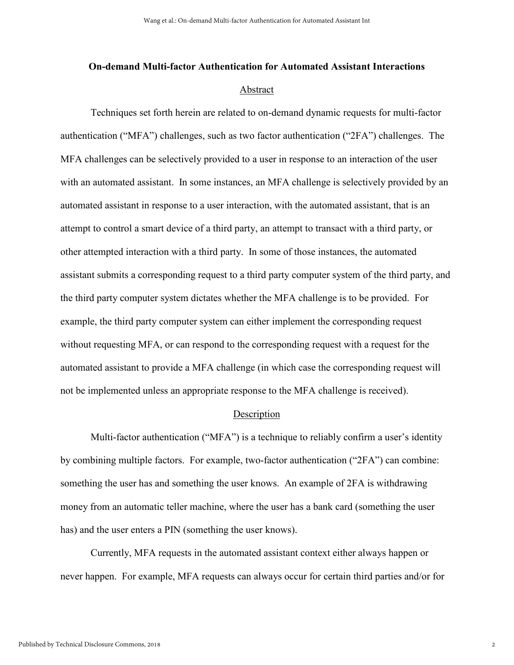## **On-demand Multi-factor Authentication for Automated Assistant Interactions**  Abstract

Techniques set forth herein are related to on-demand dynamic requests for multi-factor authentication ("MFA") challenges, such as two factor authentication ("2FA") challenges. The MFA challenges can be selectively provided to a user in response to an interaction of the user with an automated assistant. In some instances, an MFA challenge is selectively provided by an automated assistant in response to a user interaction, with the automated assistant, that is an attempt to control a smart device of a third party, an attempt to transact with a third party, or other attempted interaction with a third party. In some of those instances, the automated assistant submits a corresponding request to a third party computer system of the third party, and the third party computer system dictates whether the MFA challenge is to be provided. For example, the third party computer system can either implement the corresponding request without requesting MFA, or can respond to the corresponding request with a request for the automated assistant to provide a MFA challenge (in which case the corresponding request will not be implemented unless an appropriate response to the MFA challenge is received).

#### Description

Multi-factor authentication ("MFA") is a technique to reliably confirm a user's identity by combining multiple factors. For example, two-factor authentication ("2FA") can combine: something the user has and something the user knows. An example of 2FA is withdrawing money from an automatic teller machine, where the user has a bank card (something the user has) and the user enters a PIN (something the user knows).

Currently, MFA requests in the automated assistant context either always happen or never happen. For example, MFA requests can always occur for certain third parties and/or for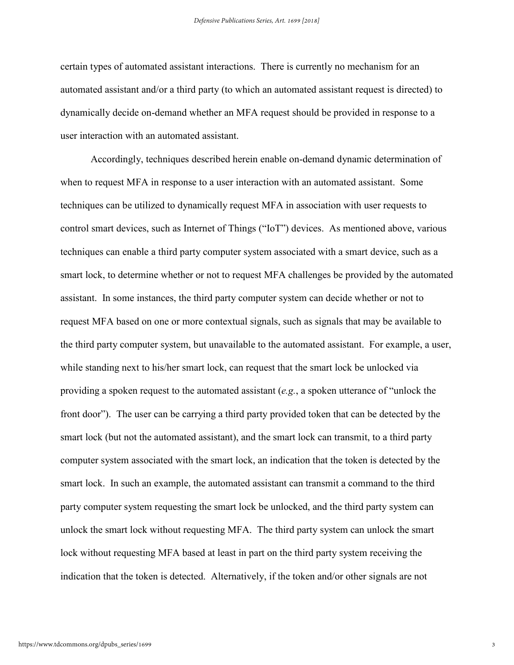certain types of automated assistant interactions. There is currently no mechanism for an automated assistant and/or a third party (to which an automated assistant request is directed) to dynamically decide on-demand whether an MFA request should be provided in response to a user interaction with an automated assistant.

Accordingly, techniques described herein enable on-demand dynamic determination of when to request MFA in response to a user interaction with an automated assistant. Some techniques can be utilized to dynamically request MFA in association with user requests to control smart devices, such as Internet of Things ("IoT") devices. As mentioned above, various techniques can enable a third party computer system associated with a smart device, such as a smart lock, to determine whether or not to request MFA challenges be provided by the automated assistant. In some instances, the third party computer system can decide whether or not to request MFA based on one or more contextual signals, such as signals that may be available to the third party computer system, but unavailable to the automated assistant. For example, a user, while standing next to his/her smart lock, can request that the smart lock be unlocked via providing a spoken request to the automated assistant (*e.g.*, a spoken utterance of "unlock the front door"). The user can be carrying a third party provided token that can be detected by the smart lock (but not the automated assistant), and the smart lock can transmit, to a third party computer system associated with the smart lock, an indication that the token is detected by the smart lock. In such an example, the automated assistant can transmit a command to the third party computer system requesting the smart lock be unlocked, and the third party system can unlock the smart lock without requesting MFA. The third party system can unlock the smart lock without requesting MFA based at least in part on the third party system receiving the indication that the token is detected. Alternatively, if the token and/or other signals are not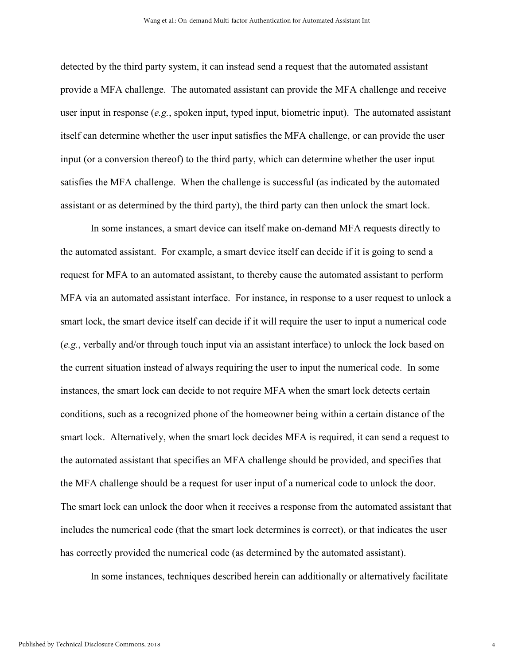detected by the third party system, it can instead send a request that the automated assistant provide a MFA challenge. The automated assistant can provide the MFA challenge and receive user input in response (*e.g.*, spoken input, typed input, biometric input). The automated assistant itself can determine whether the user input satisfies the MFA challenge, or can provide the user input (or a conversion thereof) to the third party, which can determine whether the user input satisfies the MFA challenge. When the challenge is successful (as indicated by the automated assistant or as determined by the third party), the third party can then unlock the smart lock.

In some instances, a smart device can itself make on-demand MFA requests directly to the automated assistant. For example, a smart device itself can decide if it is going to send a request for MFA to an automated assistant, to thereby cause the automated assistant to perform MFA via an automated assistant interface. For instance, in response to a user request to unlock a smart lock, the smart device itself can decide if it will require the user to input a numerical code (*e.g.*, verbally and/or through touch input via an assistant interface) to unlock the lock based on the current situation instead of always requiring the user to input the numerical code. In some instances, the smart lock can decide to not require MFA when the smart lock detects certain conditions, such as a recognized phone of the homeowner being within a certain distance of the smart lock. Alternatively, when the smart lock decides MFA is required, it can send a request to the automated assistant that specifies an MFA challenge should be provided, and specifies that the MFA challenge should be a request for user input of a numerical code to unlock the door. The smart lock can unlock the door when it receives a response from the automated assistant that includes the numerical code (that the smart lock determines is correct), or that indicates the user has correctly provided the numerical code (as determined by the automated assistant).

In some instances, techniques described herein can additionally or alternatively facilitate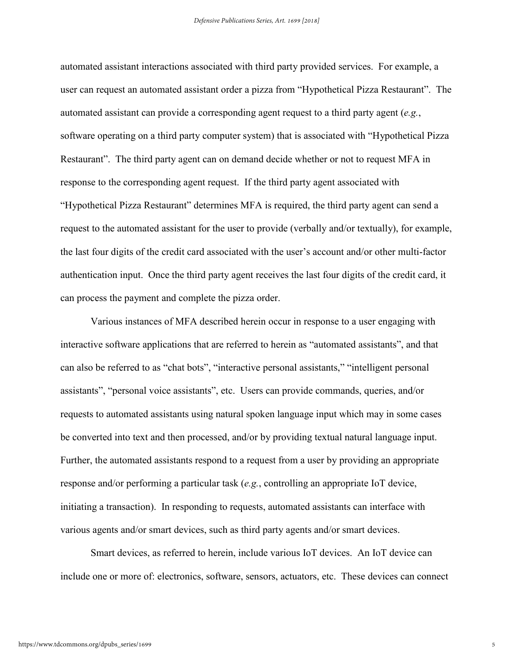automated assistant interactions associated with third party provided services. For example, a user can request an automated assistant order a pizza from "Hypothetical Pizza Restaurant". The automated assistant can provide a corresponding agent request to a third party agent (*e.g.*, software operating on a third party computer system) that is associated with "Hypothetical Pizza Restaurant". The third party agent can on demand decide whether or not to request MFA in response to the corresponding agent request. If the third party agent associated with "Hypothetical Pizza Restaurant" determines MFA is required, the third party agent can send a request to the automated assistant for the user to provide (verbally and/or textually), for example, the last four digits of the credit card associated with the user's account and/or other multi-factor authentication input. Once the third party agent receives the last four digits of the credit card, it can process the payment and complete the pizza order.

Various instances of MFA described herein occur in response to a user engaging with interactive software applications that are referred to herein as "automated assistants", and that can also be referred to as "chat bots", "interactive personal assistants," "intelligent personal assistants", "personal voice assistants", etc. Users can provide commands, queries, and/or requests to automated assistants using natural spoken language input which may in some cases be converted into text and then processed, and/or by providing textual natural language input. Further, the automated assistants respond to a request from a user by providing an appropriate response and/or performing a particular task (*e.g.*, controlling an appropriate IoT device, initiating a transaction). In responding to requests, automated assistants can interface with various agents and/or smart devices, such as third party agents and/or smart devices.

Smart devices, as referred to herein, include various IoT devices. An IoT device can include one or more of: electronics, software, sensors, actuators, etc. These devices can connect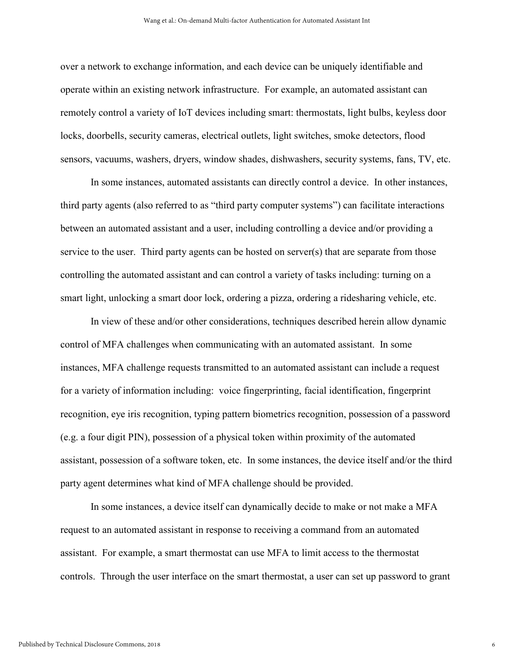over a network to exchange information, and each device can be uniquely identifiable and operate within an existing network infrastructure. For example, an automated assistant can remotely control a variety of IoT devices including smart: thermostats, light bulbs, keyless door locks, doorbells, security cameras, electrical outlets, light switches, smoke detectors, flood sensors, vacuums, washers, dryers, window shades, dishwashers, security systems, fans, TV, etc.

In some instances, automated assistants can directly control a device. In other instances, third party agents (also referred to as "third party computer systems") can facilitate interactions between an automated assistant and a user, including controlling a device and/or providing a service to the user. Third party agents can be hosted on server(s) that are separate from those controlling the automated assistant and can control a variety of tasks including: turning on a smart light, unlocking a smart door lock, ordering a pizza, ordering a ridesharing vehicle, etc.

In view of these and/or other considerations, techniques described herein allow dynamic control of MFA challenges when communicating with an automated assistant. In some instances, MFA challenge requests transmitted to an automated assistant can include a request for a variety of information including: voice fingerprinting, facial identification, fingerprint recognition, eye iris recognition, typing pattern biometrics recognition, possession of a password (e.g. a four digit PIN), possession of a physical token within proximity of the automated assistant, possession of a software token, etc. In some instances, the device itself and/or the third party agent determines what kind of MFA challenge should be provided.

In some instances, a device itself can dynamically decide to make or not make a MFA request to an automated assistant in response to receiving a command from an automated assistant. For example, a smart thermostat can use MFA to limit access to the thermostat controls. Through the user interface on the smart thermostat, a user can set up password to grant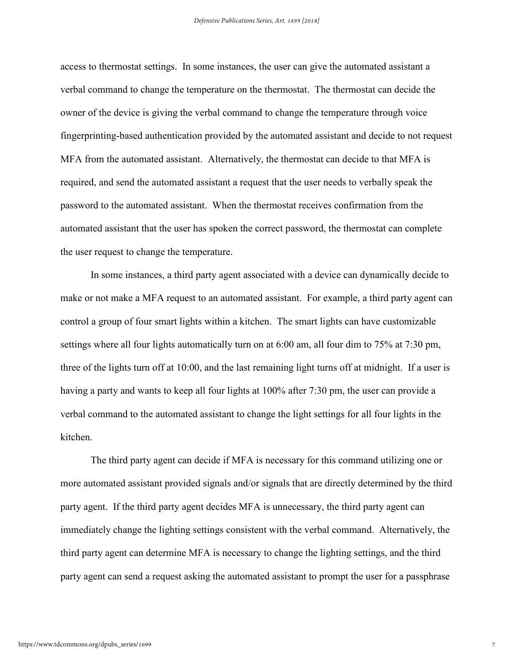access to thermostat settings. In some instances, the user can give the automated assistant a verbal command to change the temperature on the thermostat. The thermostat can decide the owner of the device is giving the verbal command to change the temperature through voice fingerprinting-based authentication provided by the automated assistant and decide to not request MFA from the automated assistant. Alternatively, the thermostat can decide to that MFA is required, and send the automated assistant a request that the user needs to verbally speak the password to the automated assistant. When the thermostat receives confirmation from the automated assistant that the user has spoken the correct password, the thermostat can complete the user request to change the temperature.

In some instances, a third party agent associated with a device can dynamically decide to make or not make a MFA request to an automated assistant. For example, a third party agent can control a group of four smart lights within a kitchen. The smart lights can have customizable settings where all four lights automatically turn on at 6:00 am, all four dim to 75% at 7:30 pm, three of the lights turn off at 10:00, and the last remaining light turns off at midnight. If a user is having a party and wants to keep all four lights at 100% after 7:30 pm, the user can provide a verbal command to the automated assistant to change the light settings for all four lights in the kitchen.

The third party agent can decide if MFA is necessary for this command utilizing one or more automated assistant provided signals and/or signals that are directly determined by the third party agent. If the third party agent decides MFA is unnecessary, the third party agent can immediately change the lighting settings consistent with the verbal command. Alternatively, the third party agent can determine MFA is necessary to change the lighting settings, and the third party agent can send a request asking the automated assistant to prompt the user for a passphrase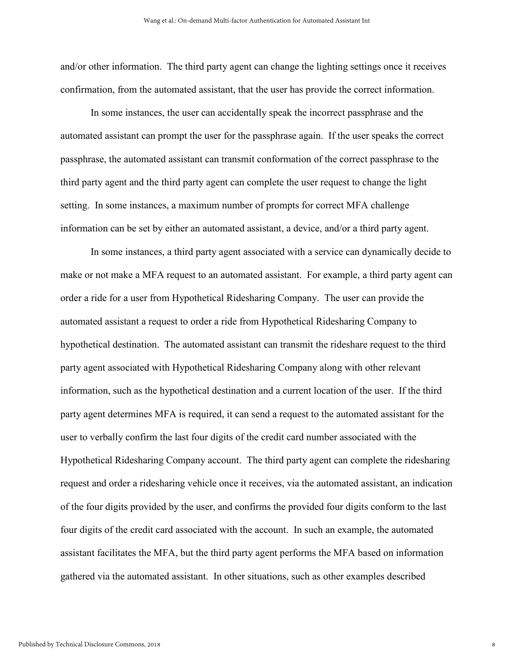and/or other information. The third party agent can change the lighting settings once it receives confirmation, from the automated assistant, that the user has provide the correct information.

In some instances, the user can accidentally speak the incorrect passphrase and the automated assistant can prompt the user for the passphrase again. If the user speaks the correct passphrase, the automated assistant can transmit conformation of the correct passphrase to the third party agent and the third party agent can complete the user request to change the light setting. In some instances, a maximum number of prompts for correct MFA challenge information can be set by either an automated assistant, a device, and/or a third party agent.

In some instances, a third party agent associated with a service can dynamically decide to make or not make a MFA request to an automated assistant. For example, a third party agent can order a ride for a user from Hypothetical Ridesharing Company. The user can provide the automated assistant a request to order a ride from Hypothetical Ridesharing Company to hypothetical destination. The automated assistant can transmit the rideshare request to the third party agent associated with Hypothetical Ridesharing Company along with other relevant information, such as the hypothetical destination and a current location of the user. If the third party agent determines MFA is required, it can send a request to the automated assistant for the user to verbally confirm the last four digits of the credit card number associated with the Hypothetical Ridesharing Company account. The third party agent can complete the ridesharing request and order a ridesharing vehicle once it receives, via the automated assistant, an indication of the four digits provided by the user, and confirms the provided four digits conform to the last four digits of the credit card associated with the account. In such an example, the automated assistant facilitates the MFA, but the third party agent performs the MFA based on information gathered via the automated assistant. In other situations, such as other examples described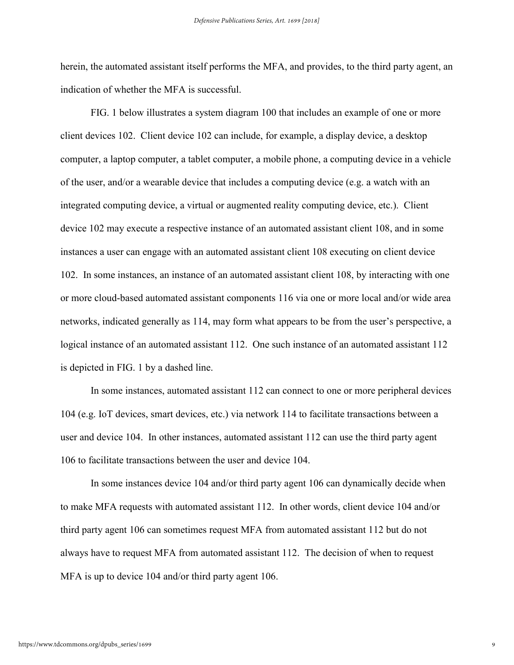herein, the automated assistant itself performs the MFA, and provides, to the third party agent, an indication of whether the MFA is successful.

FIG. 1 below illustrates a system diagram 100 that includes an example of one or more client devices 102. Client device 102 can include, for example, a display device, a desktop computer, a laptop computer, a tablet computer, a mobile phone, a computing device in a vehicle of the user, and/or a wearable device that includes a computing device (e.g. a watch with an integrated computing device, a virtual or augmented reality computing device, etc.). Client device 102 may execute a respective instance of an automated assistant client 108, and in some instances a user can engage with an automated assistant client 108 executing on client device 102. In some instances, an instance of an automated assistant client 108, by interacting with one or more cloud-based automated assistant components 116 via one or more local and/or wide area networks, indicated generally as 114, may form what appears to be from the user's perspective, a logical instance of an automated assistant 112. One such instance of an automated assistant 112 is depicted in FIG. 1 by a dashed line.

In some instances, automated assistant 112 can connect to one or more peripheral devices 104 (e.g. IoT devices, smart devices, etc.) via network 114 to facilitate transactions between a user and device 104. In other instances, automated assistant 112 can use the third party agent 106 to facilitate transactions between the user and device 104.

In some instances device 104 and/or third party agent 106 can dynamically decide when to make MFA requests with automated assistant 112. In other words, client device 104 and/or third party agent 106 can sometimes request MFA from automated assistant 112 but do not always have to request MFA from automated assistant 112. The decision of when to request MFA is up to device 104 and/or third party agent 106.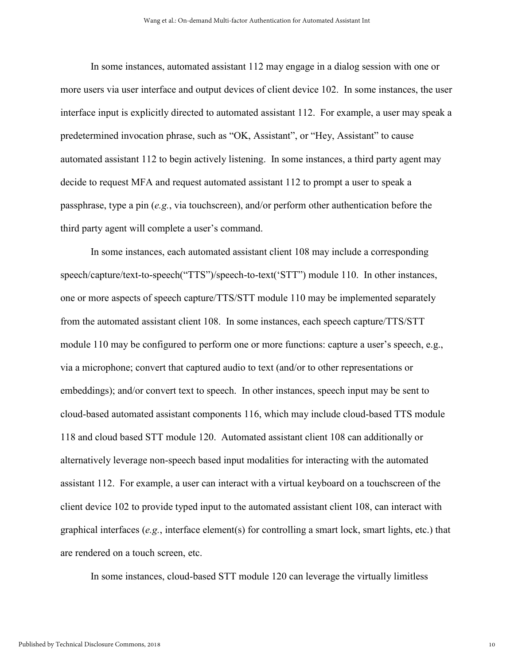In some instances, automated assistant 112 may engage in a dialog session with one or more users via user interface and output devices of client device 102. In some instances, the user interface input is explicitly directed to automated assistant 112. For example, a user may speak a predetermined invocation phrase, such as "OK, Assistant", or "Hey, Assistant" to cause automated assistant 112 to begin actively listening. In some instances, a third party agent may decide to request MFA and request automated assistant 112 to prompt a user to speak a passphrase, type a pin (*e.g.*, via touchscreen), and/or perform other authentication before the third party agent will complete a user's command.

In some instances, each automated assistant client 108 may include a corresponding speech/capture/text-to-speech("TTS")/speech-to-text('STT") module 110. In other instances, one or more aspects of speech capture/TTS/STT module 110 may be implemented separately from the automated assistant client 108. In some instances, each speech capture/TTS/STT module 110 may be configured to perform one or more functions: capture a user's speech, e.g., via a microphone; convert that captured audio to text (and/or to other representations or embeddings); and/or convert text to speech. In other instances, speech input may be sent to cloud-based automated assistant components 116, which may include cloud-based TTS module 118 and cloud based STT module 120. Automated assistant client 108 can additionally or alternatively leverage non-speech based input modalities for interacting with the automated assistant 112. For example, a user can interact with a virtual keyboard on a touchscreen of the client device 102 to provide typed input to the automated assistant client 108, can interact with graphical interfaces (*e.g.*, interface element(s) for controlling a smart lock, smart lights, etc.) that are rendered on a touch screen, etc.

In some instances, cloud-based STT module 120 can leverage the virtually limitless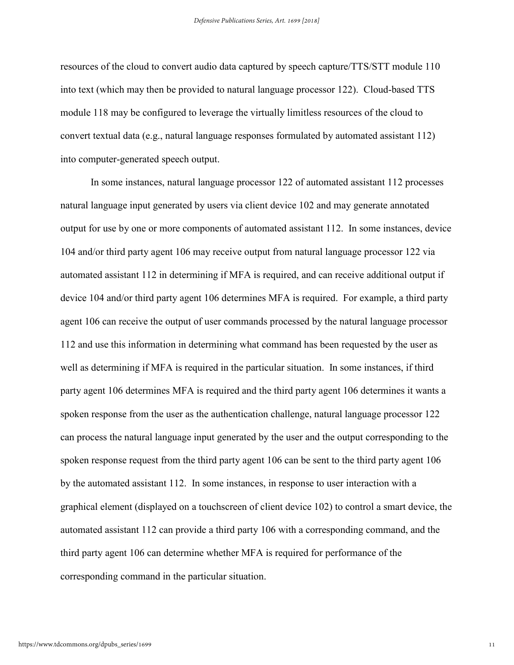resources of the cloud to convert audio data captured by speech capture/TTS/STT module 110 into text (which may then be provided to natural language processor 122). Cloud-based TTS module 118 may be configured to leverage the virtually limitless resources of the cloud to convert textual data (e.g., natural language responses formulated by automated assistant 112) into computer-generated speech output.

In some instances, natural language processor 122 of automated assistant 112 processes natural language input generated by users via client device 102 and may generate annotated output for use by one or more components of automated assistant 112. In some instances, device 104 and/or third party agent 106 may receive output from natural language processor 122 via automated assistant 112 in determining if MFA is required, and can receive additional output if device 104 and/or third party agent 106 determines MFA is required. For example, a third party agent 106 can receive the output of user commands processed by the natural language processor 112 and use this information in determining what command has been requested by the user as well as determining if MFA is required in the particular situation. In some instances, if third party agent 106 determines MFA is required and the third party agent 106 determines it wants a spoken response from the user as the authentication challenge, natural language processor 122 can process the natural language input generated by the user and the output corresponding to the spoken response request from the third party agent 106 can be sent to the third party agent 106 by the automated assistant 112. In some instances, in response to user interaction with a graphical element (displayed on a touchscreen of client device 102) to control a smart device, the automated assistant 112 can provide a third party 106 with a corresponding command, and the third party agent 106 can determine whether MFA is required for performance of the corresponding command in the particular situation.